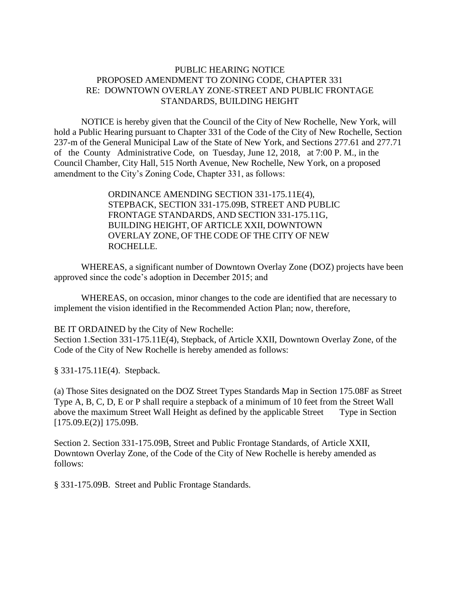## PUBLIC HEARING NOTICE PROPOSED AMENDMENT TO ZONING CODE, CHAPTER 331 RE: DOWNTOWN OVERLAY ZONE-STREET AND PUBLIC FRONTAGE STANDARDS, BUILDING HEIGHT

NOTICE is hereby given that the Council of the City of New Rochelle, New York, will hold a Public Hearing pursuant to Chapter 331 of the Code of the City of New Rochelle, Section 237-m of the General Municipal Law of the State of New York, and Sections 277.61 and 277.71 of the County Administrative Code, on Tuesday, June 12, 2018, at 7:00 P. M., in the Council Chamber, City Hall, 515 North Avenue, New Rochelle, New York, on a proposed amendment to the City's Zoning Code, Chapter 331, as follows:

> ORDINANCE AMENDING SECTION 331-175.11E(4), STEPBACK, SECTION 331-175.09B, STREET AND PUBLIC FRONTAGE STANDARDS, AND SECTION 331-175.11G, BUILDING HEIGHT, OF ARTICLE XXII, DOWNTOWN OVERLAY ZONE, OF THE CODE OF THE CITY OF NEW ROCHELLE.

WHEREAS, a significant number of Downtown Overlay Zone (DOZ) projects have been approved since the code's adoption in December 2015; and

WHEREAS, on occasion, minor changes to the code are identified that are necessary to implement the vision identified in the Recommended Action Plan; now, therefore,

BE IT ORDAINED by the City of New Rochelle:

Section 1.Section 331-175.11E(4), Stepback, of Article XXII, Downtown Overlay Zone, of the Code of the City of New Rochelle is hereby amended as follows:

§ 331-175.11E(4). Stepback.

(a) Those Sites designated on the DOZ Street Types Standards Map in Section 175.08F as Street Type A, B, C, D, E or P shall require a stepback of a minimum of 10 feet from the Street Wall above the maximum Street Wall Height as defined by the applicable Street Type in Section [175.09.E(2)] 175.09B.

Section 2. Section 331-175.09B, Street and Public Frontage Standards, of Article XXII, Downtown Overlay Zone, of the Code of the City of New Rochelle is hereby amended as follows:

§ 331-175.09B. Street and Public Frontage Standards.